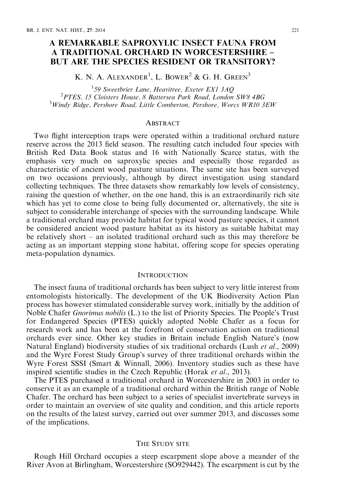# A REMARKABLE SAPROXYLIC INSECT FAUNA FROM A TRADITIONAL ORCHARD IN WORCESTERSHIRE – BUT ARE THE SPECIES RESIDENT OR TRANSITORY?

K. N. A. ALEXANDER<sup>1</sup>, L. BOWER<sup>2</sup> & G. H. GREEN<sup>3</sup>

<sup>1</sup>59 Sweetbrier Lane, Heavitree, Exeter EX1 3AO 59 Sweetbrier Lane, Heavitree, Exeter EX1 3AQ<br><sup>2</sup> PTES 15 Cloisters House, 8 Pattersee Bark Boad, London <sup>2</sup> PTES, 15 Cloisters House, 8 Battersea Park Road, London SW8 4BG<br><sup>3</sup> Windy Ridge, Barshare Road, Little Camborton, Barshare, Wangs WB10.3  $3$ Windy Ridge, Pershore Road, Little Comberton, Pershore, Worcs WR10 3EW

# **ABSTRACT**

Two flight interception traps were operated within a traditional orchard nature reserve across the 2013 field season. The resulting catch included four species with British Red Data Book status and 16 with Nationally Scarce status, with the emphasis very much on saproxylic species and especially those regarded as characteristic of ancient wood pasture situations. The same site has been surveyed on two occasions previously, although by direct investigation using standard collecting techniques. The three datasets show remarkably low levels of consistency, raising the question of whether, on the one hand, this is an extraordinarily rich site which has yet to come close to being fully documented or, alternatively, the site is subject to considerable interchange of species with the surrounding landscape. While a traditional orchard may provide habitat for typical wood pasture species, it cannot be considered ancient wood pasture habitat as its history as suitable habitat may be relatively short – an isolated traditional orchard such as this may therefore be acting as an important stepping stone habitat, offering scope for species operating meta-population dynamics.

#### **INTRODUCTION**

The insect fauna of traditional orchards has been subject to very little interest from entomologists historically. The development of the UK Biodiversity Action Plan process has however stimulated considerable survey work, initially by the addition of Noble Chafer Gnorimus nobilis (L.) to the list of Priority Species. The People's Trust for Endangered Species (PTES) quickly adopted Noble Chafer as a focus for research work and has been at the forefront of conservation action on traditional orchards ever since. Other key studies in Britain include English Nature's (now Natural England) biodiversity studies of six traditional orchards (Lush et al., 2009) and the Wyre Forest Study Group's survey of three traditional orchards within the Wyre Forest SSSI (Smart & Winnall, 2006). Inventory studies such as these have inspired scientific studies in the Czech Republic (Horak et al., 2013).

The PTES purchased a traditional orchard in Worcestershire in 2003 in order to conserve it as an example of a traditional orchard within the British range of Noble Chafer. The orchard has been subject to a series of specialist invertebrate surveys in order to maintain an overview of site quality and condition, and this article reports on the results of the latest survey, carried out over summer 2013, and discusses some of the implications.

### THE STUDY SITE

Rough Hill Orchard occupies a steep escarpment slope above a meander of the River Avon at Birlingham, Worcestershire (SO929442). The escarpment is cut by the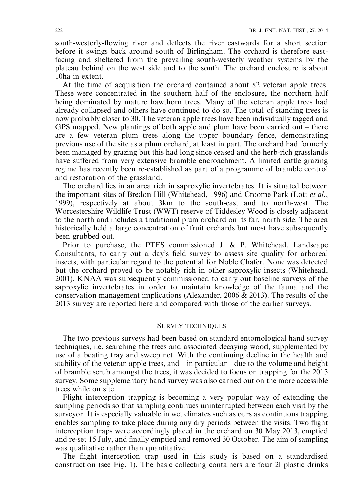south-westerly-flowing river and deflects the river eastwards for a short section before it swings back around south of Birlingham. The orchard is therefore eastfacing and sheltered from the prevailing south-westerly weather systems by the plateau behind on the west side and to the south. The orchard enclosure is about 10ha in extent.

At the time of acquisition the orchard contained about 82 veteran apple trees. These were concentrated in the southern half of the enclosure, the northern half being dominated by mature hawthorn trees. Many of the veteran apple trees had already collapsed and others have continued to do so. The total of standing trees is now probably closer to 30. The veteran apple trees have been individually tagged and GPS mapped. New plantings of both apple and plum have been carried out – there are a few veteran plum trees along the upper boundary fence, demonstrating previous use of the site as a plum orchard, at least in part. The orchard had formerly been managed by grazing but this had long since ceased and the herb-rich grasslands have suffered from very extensive bramble encroachment. A limited cattle grazing regime has recently been re-established as part of a programme of bramble control and restoration of the grassland.

The orchard lies in an area rich in saproxylic invertebrates. It is situated between the important sites of Bredon Hill (Whitehead, 1996) and Croome Park (Lott et al., 1999), respectively at about 3km to the south-east and to north-west. The Worcestershire Wildlife Trust (WWT) reserve of Tiddesley Wood is closely adjacent to the north and includes a traditional plum orchard on its far, north side. The area historically held a large concentration of fruit orchards but most have subsequently been grubbed out.

Prior to purchase, the PTES commissioned J. & P. Whitehead, Landscape Consultants, to carry out a day's field survey to assess site quality for arboreal insects, with particular regard to the potential for Noble Chafer. None was detected but the orchard proved to be notably rich in other saproxylic insects (Whitehead, 2001). KNAA was subsequently commissioned to carry out baseline surveys of the saproxylic invertebrates in order to maintain knowledge of the fauna and the conservation management implications (Alexander, 2006 & 2013). The results of the 2013 survey are reported here and compared with those of the earlier surveys.

# SURVEY TECHNIQUES

The two previous surveys had been based on standard entomological hand survey techniques, i.e. searching the trees and associated decaying wood, supplemented by use of a beating tray and sweep net. With the continuing decline in the health and stability of the veteran apple trees, and  $-\text{ in particular } - \text{ due to the volume and height}$ of bramble scrub amongst the trees, it was decided to focus on trapping for the 2013 survey. Some supplementary hand survey was also carried out on the more accessible trees while on site.

Flight interception trapping is becoming a very popular way of extending the sampling periods so that sampling continues uninterrupted between each visit by the surveyor. It is especially valuable in wet climates such as ours as continuous trapping enables sampling to take place during any dry periods between the visits. Two flight interception traps were accordingly placed in the orchard on 30 May 2013, emptied and re-set 15 July, and finally emptied and removed 30 October. The aim of sampling was qualitative rather than quantitative.

The flight interception trap used in this study is based on a standardised construction (see Fig. 1). The basic collecting containers are four 2l plastic drinks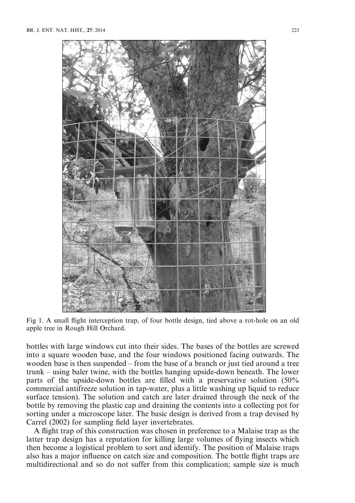

Fig 1. A small flight interception trap, of four bottle design, tied above a rot-hole on an old apple tree in Rough Hill Orchard.

bottles with large windows cut into their sides. The bases of the bottles are screwed into a square wooden base, and the four windows positioned facing outwards. The wooden base is then suspended – from the base of a branch or just tied around a tree trunk – using baler twine, with the bottles hanging upside-down beneath. The lower parts of the upside-down bottles are filled with a preservative solution (50% commercial antifreeze solution in tap-water, plus a little washing up liquid to reduce surface tension). The solution and catch are later drained through the neck of the bottle by removing the plastic cap and draining the contents into a collecting pot for sorting under a microscope later. The basic design is derived from a trap devised by Carrel (2002) for sampling field layer invertebrates.

A flight trap of this construction was chosen in preference to a Malaise trap as the latter trap design has a reputation for killing large volumes of flying insects which then become a logistical problem to sort and identify. The position of Malaise traps also has a major influence on catch size and composition. The bottle flight traps are multidirectional and so do not suffer from this complication; sample size is much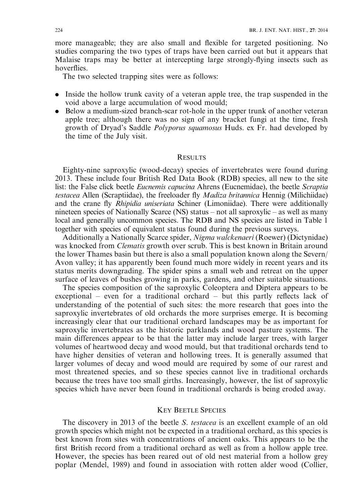more manageable; they are also small and flexible for targeted positioning. No studies comparing the two types of traps have been carried out but it appears that Malaise traps may be better at intercepting large strongly-flying insects such as hoverflies.

The two selected trapping sites were as follows:

- . Inside the hollow trunk cavity of a veteran apple tree, the trap suspended in the void above a large accumulation of wood mould;
- . Below a medium-sized branch-scar rot-hole in the upper trunk of another veteran apple tree; although there was no sign of any bracket fungi at the time, fresh growth of Dryad's Saddle Polyporus squamosus Huds. ex Fr. had developed by the time of the July visit.

### **RESULTS**

Eighty-nine saproxylic (wood-decay) species of invertebrates were found during 2013. These include four British Red Data Book (RDB) species, all new to the site list: the False click beetle *Eucnemis capucina* Ahrens (Eucnemidae), the beetle *Scraptia* testacea Allen (Scraptiidae), the freeloader fly Madiza britannica Hennig (Milichiidae) and the crane fly Rhipidia uniseriata Schiner (Limoniidae). There were additionally nineteen species of Nationally Scarce (NS) status – not all saproxylic – as well as many local and generally uncommon species. The RDB and NS species are listed in Table 1 together with species of equivalent status found during the previous surveys.

Additionally a Nationally Scarce spider, Nigma walckenaeri (Roewer) (Dictynidae) was knocked from *Clematis* growth over scrub. This is best known in Britain around the lower Thames basin but there is also a small population known along the Severn/ Avon valley; it has apparently been found much more widely in recent years and its status merits downgrading. The spider spins a small web and retreat on the upper surface of leaves of bushes growing in parks, gardens, and other suitable situations.

The species composition of the saproxylic Coleoptera and Diptera appears to be exceptional – even for a traditional orchard – but this partly reflects lack of understanding of the potential of such sites: the more research that goes into the saproxylic invertebrates of old orchards the more surprises emerge. It is becoming increasingly clear that our traditional orchard landscapes may be as important for saproxylic invertebrates as the historic parklands and wood pasture systems. The main differences appear to be that the latter may include larger trees, with larger volumes of heartwood decay and wood mould, but that traditional orchards tend to have higher densities of veteran and hollowing trees. It is generally assumed that larger volumes of decay and wood mould are required by some of our rarest and most threatened species, and so these species cannot live in traditional orchards because the trees have too small girths. Increasingly, however, the list of saproxylic species which have never been found in traditional orchards is being eroded away.

# KEY BEETLE SPECIES

The discovery in 2013 of the beetle S. testacea is an excellent example of an old growth species which might not be expected in a traditional orchard, as this species is best known from sites with concentrations of ancient oaks. This appears to be the first British record from a traditional orchard as well as from a hollow apple tree. However, the species has been reared out of old nest material from a hollow grey poplar (Mendel, 1989) and found in association with rotten alder wood (Collier,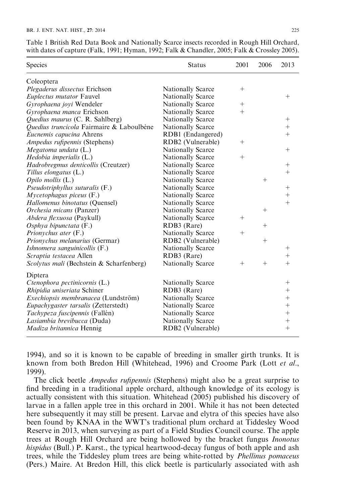| Species                                   | <b>Status</b>            | 2001   | 2006   | 2013               |
|-------------------------------------------|--------------------------|--------|--------|--------------------|
| Coleoptera                                |                          |        |        |                    |
| Plegaderus dissectus Erichson             | <b>Nationally Scarce</b> | $+$    |        |                    |
| Euplectus mutator Fauvel                  | Nationally Scarce        |        |        | $^+$               |
| Gyrophaena joyi Wendeler                  | Nationally Scarce        | $+$    |        |                    |
| Gyrophaena manca Erichson                 | Nationally Scarce        | $+$    |        |                    |
| Quedius maurus (C. R. Sahlberg)           | Nationally Scarce        |        |        | $^{+}$             |
| Quedius truncicola Fairmaire & Laboulbène | Nationally Scarce        |        |        | $^{+}$             |
| Eucnemis capucina Ahrens                  | RDB1 (Endangered)        |        |        | $^{+}$             |
| Ampedus rufipennis (Stephens)             | RDB2 (Vulnerable)        | $^{+}$ |        |                    |
| Megatoma undata (L.)                      | <b>Nationally Scarce</b> |        |        | $^{+}$             |
| Hedobia imperialis (L.)                   | Nationally Scarce        | $^{+}$ |        |                    |
| Hadrobregmus denticollis (Creutzer)       | <b>Nationally Scarce</b> |        |        | $^{+}$             |
| Tillus elongatus (L.)                     | Nationally Scarce        |        |        | $^{+}$             |
| <i>Opilo mollis</i> (L.)                  | <b>Nationally Scarce</b> |        | $^{+}$ |                    |
| Pseudotriphyllus suturalis $(F.)$         | <b>Nationally Scarce</b> |        |        | $^{+}$             |
| $M$ ycetophagus piceus $(F.)$             | <b>Nationally Scarce</b> |        |        | $\ddot{}$          |
| Hallomenus binotatus (Quensel)            | Nationally Scarce        |        |        | $^{+}$             |
| Orchesia micans (Panzer)                  | <b>Nationally Scarce</b> |        | $+$    |                    |
| <i>Abdera flexuosa</i> (Paykull)          | Nationally Scarce        | $^+$   |        |                    |
| Osphya bipunctata $(F.)$                  | RDB3 (Rare)              |        | $+$    |                    |
| Prionychus ater (F.)                      | <b>Nationally Scarce</b> | $+$    |        |                    |
| Prionychus melanarius (Germar)            | RDB2 (Vulnerable)        |        | $+$    |                    |
| Ishnomera sanguinicollis (F.)             | Nationally Scarce        |        |        | $^{+}$             |
| Scraptia testacea Allen                   | RDB3 (Rare)              |        |        | $\ddot{}$          |
| Scolytus mali (Bechstein & Scharfenberg)  | Nationally Scarce        | $+$    | $+$    | $^{+}$             |
| Diptera                                   |                          |        |        |                    |
| Ctenophora pectinicornis (L.)             | <b>Nationally Scarce</b> |        |        | $\hspace{0.1mm} +$ |
| Rhipidia uniseriata Schiner               | RDB3 (Rare)              |        |        | $^{+}$             |
| Exechiopsis membranacea (Lundström)       | <b>Nationally Scarce</b> |        |        | $^{+}$             |
| Eupachygaster tarsalis (Zetterstedt)      | <b>Nationally Scarce</b> |        |        | $^{+}$             |
| Tachypeza fuscipennis (Fallén)            | Nationally Scarce        |        |        | $^{+}$             |
| Lasiambia brevibucca (Duda)               | <b>Nationally Scarce</b> |        |        | $^{+}$             |
| Madiza britannica Hennig                  | RDB2 (Vulnerable)        |        |        | $^{+}$             |

Table 1 British Red Data Book and Nationally Scarce insects recorded in Rough Hill Orchard, with dates of capture (Falk, 1991; Hyman, 1992; Falk & Chandler, 2005; Falk & Crossley 2005).

1994), and so it is known to be capable of breeding in smaller girth trunks. It is known from both Bredon Hill (Whitehead, 1996) and Croome Park (Lott et al., 1999).

The click beetle Ampedus rufipennis (Stephens) might also be a great surprise to find breeding in a traditional apple orchard, although knowledge of its ecology is actually consistent with this situation. Whitehead (2005) published his discovery of larvae in a fallen apple tree in this orchard in 2001. While it has not been detected here subsequently it may still be present. Larvae and elytra of this species have also been found by KNAA in the WWT's traditional plum orchard at Tiddesley Wood Reserve in 2013, when surveying as part of a Field Studies Council course. The apple trees at Rough Hill Orchard are being hollowed by the bracket fungus Inonotus hispidus (Bull.) P. Karst., the typical heartwood-decay fungus of both apple and ash trees, while the Tiddesley plum trees are being white-rotted by Phellinus pomaceus (Pers.) Maire. At Bredon Hill, this click beetle is particularly associated with ash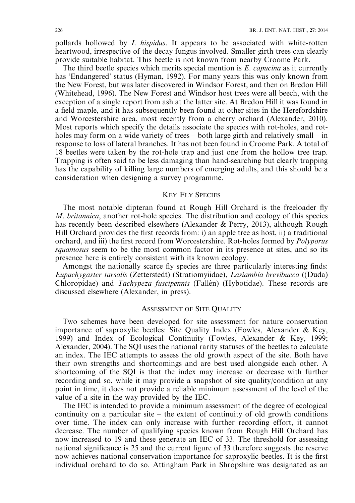pollards hollowed by *I. hispidus*. It appears to be associated with white-rotten heartwood, irrespective of the decay fungus involved. Smaller girth trees can clearly provide suitable habitat. This beetle is not known from nearby Croome Park.

The third beetle species which merits special mention is  $E$ , *capucina* as it currently has 'Endangered' status (Hyman, 1992). For many years this was only known from the New Forest, but was later discovered in Windsor Forest, and then on Bredon Hill (Whitehead, 1996). The New Forest and Windsor host trees were all beech, with the exception of a single report from ash at the latter site. At Bredon Hill it was found in a field maple, and it has subsequently been found at other sites in the Herefordshire and Worcestershire area, most recently from a cherry orchard (Alexander, 2010). Most reports which specify the details associate the species with rot-holes, and rotholes may form on a wide variety of trees – both large girth and relatively small – in response to loss of lateral branches. It has not been found in Croome Park. A total of 18 beetles were taken by the rot-hole trap and just one from the hollow tree trap. Trapping is often said to be less damaging than hand-searching but clearly trapping has the capability of killing large numbers of emerging adults, and this should be a consideration when designing a survey programme.

### KEY FLY SPECIES

The most notable dipteran found at Rough Hill Orchard is the freeloader fly M. britannica, another rot-hole species. The distribution and ecology of this species has recently been described elsewhere (Alexander & Perry, 2013), although Rough Hill Orchard provides the first records from: i) an apple tree as host, ii) a traditional orchard, and iii) the first record from Worcestershire. Rot-holes formed by Polyporus squamosus seem to be the most common factor in its presence at sites, and so its presence here is entirely consistent with its known ecology.

Amongst the nationally scarce fly species are three particularly interesting finds: Eupachygaster tarsalis (Zetterstedt) (Stratiomyiidae), Lasiambia brevibucca ((Duda) Chloropidae) and *Tachypeza fuscipennis* (Fallén) (Hybotidae). These records are discussed elsewhere (Alexander, in press).

# ASSESSMENT OF SITE QUALITY

Two schemes have been developed for site assessment for nature conservation importance of saproxylic beetles: Site Quality Index (Fowles, Alexander & Key, 1999) and Index of Ecological Continuity (Fowles, Alexander & Key, 1999; Alexander, 2004). The SQI uses the national rarity statuses of the beetles to calculate an index. The IEC attempts to assess the old growth aspect of the site. Both have their own strengths and shortcomings and are best used alongside each other. A shortcoming of the SQI is that the index may increase or decrease with further recording and so, while it may provide a snapshot of site quality/condition at any point in time, it does not provide a reliable minimum assessment of the level of the value of a site in the way provided by the IEC.

The IEC is intended to provide a minimum assessment of the degree of ecological continuity on a particular site – the extent of continuity of old growth conditions over time. The index can only increase with further recording effort, it cannot decrease. The number of qualifying species known from Rough Hill Orchard has now increased to 19 and these generate an IEC of 33. The threshold for assessing national significance is 25 and the current figure of 33 therefore suggests the reserve now achieves national conservation importance for saproxylic beetles. It is the first individual orchard to do so. Attingham Park in Shropshire was designated as an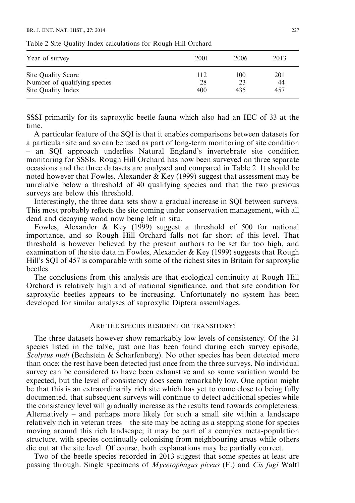#### BR. J. ENT. NAT. HIST.  $27 \cdot 2014$  227

| Year of survey                                     | 2001      | 2006      | 2013      |
|----------------------------------------------------|-----------|-----------|-----------|
| Site Quality Score<br>Number of qualifying species | 112<br>28 | 100<br>23 | 201<br>44 |
| Site Quality Index                                 | 400       | 435       | 457       |

Table 2 Site Quality Index calculations for Rough Hill Orchard

SSSI primarily for its saproxylic beetle fauna which also had an IEC of 33 at the time.

A particular feature of the SQI is that it enables comparisons between datasets for a particular site and so can be used as part of long-term monitoring of site condition – an SQI approach underlies Natural England's invertebrate site condition monitoring for SSSIs. Rough Hill Orchard has now been surveyed on three separate occasions and the three datasets are analysed and compared in Table 2. It should be noted however that Fowles, Alexander & Key (1999) suggest that assessment may be unreliable below a threshold of 40 qualifying species and that the two previous surveys are below this threshold.

Interestingly, the three data sets show a gradual increase in SQI between surveys. This most probably reflects the site coming under conservation management, with all dead and decaying wood now being left in situ.

Fowles, Alexander & Key (1999) suggest a threshold of 500 for national importance, and so Rough Hill Orchard falls not far short of this level. That threshold is however believed by the present authors to be set far too high, and examination of the site data in Fowles, Alexander & Key (1999) suggests that Rough Hill's SQI of 457 is comparable with some of the richest sites in Britain for saproxylic beetles.

The conclusions from this analysis are that ecological continuity at Rough Hill Orchard is relatively high and of national significance, and that site condition for saproxylic beetles appears to be increasing. Unfortunately no system has been developed for similar analyses of saproxylic Diptera assemblages.

### ARE THE SPECIES RESIDENT OR TRANSITORY?

The three datasets however show remarkably low levels of consistency. Of the 31 species listed in the table, just one has been found during each survey episode, Scolytus mali (Bechstein & Scharfenberg). No other species has been detected more than once; the rest have been detected just once from the three surveys. No individual survey can be considered to have been exhaustive and so some variation would be expected, but the level of consistency does seem remarkably low. One option might be that this is an extraordinarily rich site which has yet to come close to being fully documented, that subsequent surveys will continue to detect additional species while the consistency level will gradually increase as the results tend towards completeness. Alternatively – and perhaps more likely for such a small site within a landscape relatively rich in veteran trees – the site may be acting as a stepping stone for species moving around this rich landscape; it may be part of a complex meta-population structure, with species continually colonising from neighbouring areas while others die out at the site level. Of course, both explanations may be partially correct.

Two of the beetle species recorded in 2013 suggest that some species at least are passing through. Single specimens of *Mycetophagus piceus* (F.) and *Cis fagi* Waltl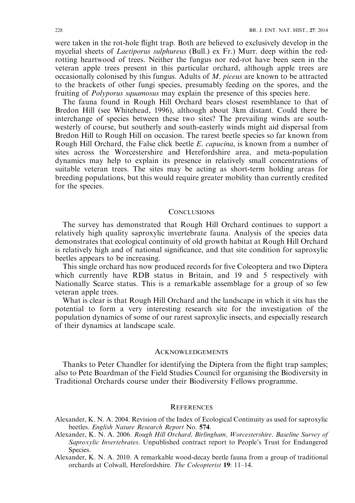were taken in the rot-hole flight trap. Both are believed to exclusively develop in the mycelial sheets of Laetiporus sulphureus (Bull.) ex Fr.) Murr. deep within the redrotting heartwood of trees. Neither the fungus nor red-rot have been seen in the veteran apple trees present in this particular orchard, although apple trees are occasionally colonised by this fungus. Adults of M. piceus are known to be attracted to the brackets of other fungi species, presumably feeding on the spores, and the fruiting of Polyporus squamosus may explain the presence of this species here.

The fauna found in Rough Hill Orchard bears closest resemblance to that of Bredon Hill (see Whitehead, 1996), although about 3km distant. Could there be interchange of species between these two sites? The prevailing winds are southwesterly of course, but southerly and south-easterly winds might aid dispersal from Bredon Hill to Rough Hill on occasion. The rarest beetle species so far known from Rough Hill Orchard, the False click beetle *E. capucina*, is known from a number of sites across the Worcestershire and Herefordshire area, and meta-population dynamics may help to explain its presence in relatively small concentrations of suitable veteran trees. The sites may be acting as short-term holding areas for breeding populations, but this would require greater mobility than currently credited for the species.

# **CONCLUSIONS**

The survey has demonstrated that Rough Hill Orchard continues to support a relatively high quality saproxylic invertebrate fauna. Analysis of the species data demonstrates that ecological continuity of old growth habitat at Rough Hill Orchard is relatively high and of national significance, and that site condition for saproxylic beetles appears to be increasing.

This single orchard has now produced records for five Coleoptera and two Diptera which currently have RDB status in Britain, and 19 and 5 respectively with Nationally Scarce status. This is a remarkable assemblage for a group of so few veteran apple trees.

What is clear is that Rough Hill Orchard and the landscape in which it sits has the potential to form a very interesting research site for the investigation of the population dynamics of some of our rarest saproxylic insects, and especially research of their dynamics at landscape scale.

### **ACKNOWLEDGEMENTS**

Thanks to Peter Chandler for identifying the Diptera from the flight trap samples; also to Pete Boardman of the Field Studies Council for organising the Biodiversity in Traditional Orchards course under their Biodiversity Fellows programme.

### **REFERENCES**

- Alexander, K. N. A. 2004. Revision of the Index of Ecological Continuity as used for saproxylic beetles. English Nature Research Report No. 574.
- Alexander, K. N. A. 2006. Rough Hill Orchard, Birlingham, Worcestershire. Baseline Survey of Saproxylic Invertebrates. Unpublished contract report to People's Trust for Endangered Species.
- Alexander, K. N. A. 2010. A remarkable wood-decay beetle fauna from a group of traditional orchards at Colwall, Herefordshire. The Coleopterist 19: 11–14.